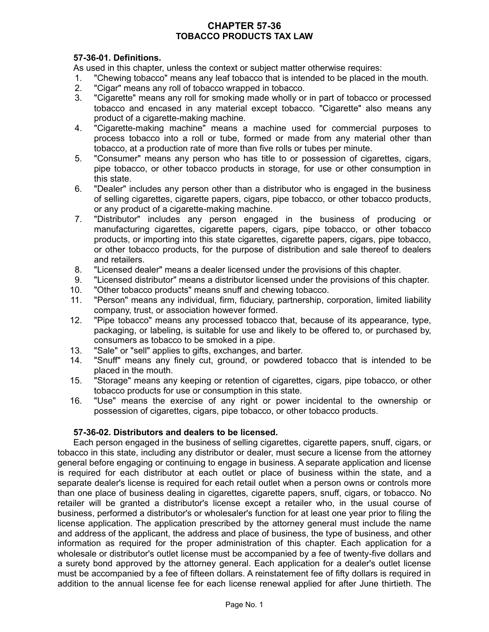# **CHAPTER 57-36 TOBACCO PRODUCTS TAX LAW**

# **57-36-01. Definitions.**

As used in this chapter, unless the context or subject matter otherwise requires:

- 1. "Chewing tobacco" means any leaf tobacco that is intended to be placed in the mouth.
- 2. "Cigar" means any roll of tobacco wrapped in tobacco.
- 3. "Cigarette" means any roll for smoking made wholly or in part of tobacco or processed tobacco and encased in any material except tobacco. "Cigarette" also means any product of a cigarette-making machine.
- 4. "Cigarette-making machine" means a machine used for commercial purposes to process tobacco into a roll or tube, formed or made from any material other than tobacco, at a production rate of more than five rolls or tubes per minute.
- 5. "Consumer" means any person who has title to or possession of cigarettes, cigars, pipe tobacco, or other tobacco products in storage, for use or other consumption in this state.
- 6. "Dealer" includes any person other than a distributor who is engaged in the business of selling cigarettes, cigarette papers, cigars, pipe tobacco, or other tobacco products, or any product of a cigarette-making machine.
- 7. "Distributor" includes any person engaged in the business of producing or manufacturing cigarettes, cigarette papers, cigars, pipe tobacco, or other tobacco products, or importing into this state cigarettes, cigarette papers, cigars, pipe tobacco, or other tobacco products, for the purpose of distribution and sale thereof to dealers and retailers.
- 8. "Licensed dealer" means a dealer licensed under the provisions of this chapter.
- 9. "Licensed distributor" means a distributor licensed under the provisions of this chapter.
- 10. "Other tobacco products" means snuff and chewing tobacco.
- 11. "Person" means any individual, firm, fiduciary, partnership, corporation, limited liability company, trust, or association however formed.
- 12. "Pipe tobacco" means any processed tobacco that, because of its appearance, type, packaging, or labeling, is suitable for use and likely to be offered to, or purchased by, consumers as tobacco to be smoked in a pipe.
- 13. "Sale" or "sell" applies to gifts, exchanges, and barter.
- 14. "Snuff" means any finely cut, ground, or powdered tobacco that is intended to be placed in the mouth.
- 15. "Storage" means any keeping or retention of cigarettes, cigars, pipe tobacco, or other tobacco products for use or consumption in this state.
- 16. "Use" means the exercise of any right or power incidental to the ownership or possession of cigarettes, cigars, pipe tobacco, or other tobacco products.

## **57-36-02. Distributors and dealers to be licensed.**

Each person engaged in the business of selling cigarettes, cigarette papers, snuff, cigars, or tobacco in this state, including any distributor or dealer, must secure a license from the attorney general before engaging or continuing to engage in business. A separate application and license is required for each distributor at each outlet or place of business within the state, and a separate dealer's license is required for each retail outlet when a person owns or controls more than one place of business dealing in cigarettes, cigarette papers, snuff, cigars, or tobacco. No retailer will be granted a distributor's license except a retailer who, in the usual course of business, performed a distributor's or wholesaler's function for at least one year prior to filing the license application. The application prescribed by the attorney general must include the name and address of the applicant, the address and place of business, the type of business, and other information as required for the proper administration of this chapter. Each application for a wholesale or distributor's outlet license must be accompanied by a fee of twenty-five dollars and a surety bond approved by the attorney general. Each application for a dealer's outlet license must be accompanied by a fee of fifteen dollars. A reinstatement fee of fifty dollars is required in addition to the annual license fee for each license renewal applied for after June thirtieth. The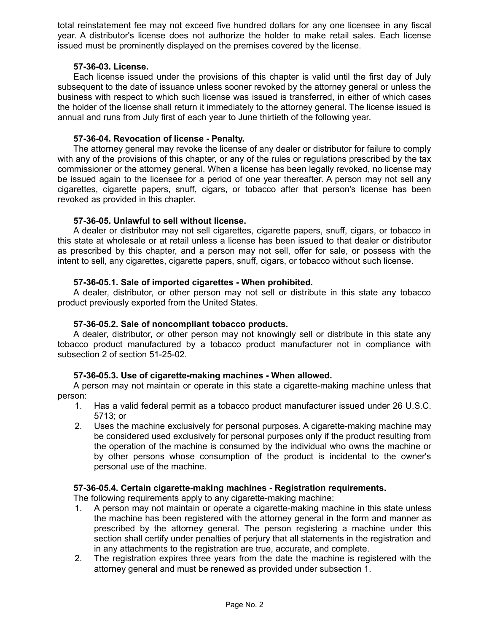total reinstatement fee may not exceed five hundred dollars for any one licensee in any fiscal year. A distributor's license does not authorize the holder to make retail sales. Each license issued must be prominently displayed on the premises covered by the license.

### **57-36-03. License.**

Each license issued under the provisions of this chapter is valid until the first day of July subsequent to the date of issuance unless sooner revoked by the attorney general or unless the business with respect to which such license was issued is transferred, in either of which cases the holder of the license shall return it immediately to the attorney general. The license issued is annual and runs from July first of each year to June thirtieth of the following year.

### **57-36-04. Revocation of license - Penalty.**

The attorney general may revoke the license of any dealer or distributor for failure to comply with any of the provisions of this chapter, or any of the rules or regulations prescribed by the tax commissioner or the attorney general. When a license has been legally revoked, no license may be issued again to the licensee for a period of one year thereafter. A person may not sell any cigarettes, cigarette papers, snuff, cigars, or tobacco after that person's license has been revoked as provided in this chapter.

### **57-36-05. Unlawful to sell without license.**

A dealer or distributor may not sell cigarettes, cigarette papers, snuff, cigars, or tobacco in this state at wholesale or at retail unless a license has been issued to that dealer or distributor as prescribed by this chapter, and a person may not sell, offer for sale, or possess with the intent to sell, any cigarettes, cigarette papers, snuff, cigars, or tobacco without such license.

### **57-36-05.1. Sale of imported cigarettes - When prohibited.**

A dealer, distributor, or other person may not sell or distribute in this state any tobacco product previously exported from the United States.

#### **57-36-05.2. Sale of noncompliant tobacco products.**

A dealer, distributor, or other person may not knowingly sell or distribute in this state any tobacco product manufactured by a tobacco product manufacturer not in compliance with subsection 2 of section 51-25-02.

#### **57-36-05.3. Use of cigarette-making machines - When allowed.**

A person may not maintain or operate in this state a cigarette-making machine unless that person:

- 1. Has a valid federal permit as a tobacco product manufacturer issued under 26 U.S.C. 5713; or
- 2. Uses the machine exclusively for personal purposes. A cigarette-making machine may be considered used exclusively for personal purposes only if the product resulting from the operation of the machine is consumed by the individual who owns the machine or by other persons whose consumption of the product is incidental to the owner's personal use of the machine.

#### **57-36-05.4. Certain cigarette-making machines - Registration requirements.**

The following requirements apply to any cigarette-making machine:

- 1. A person may not maintain or operate a cigarette-making machine in this state unless the machine has been registered with the attorney general in the form and manner as prescribed by the attorney general. The person registering a machine under this section shall certify under penalties of perjury that all statements in the registration and in any attachments to the registration are true, accurate, and complete.
- 2. The registration expires three years from the date the machine is registered with the attorney general and must be renewed as provided under subsection 1.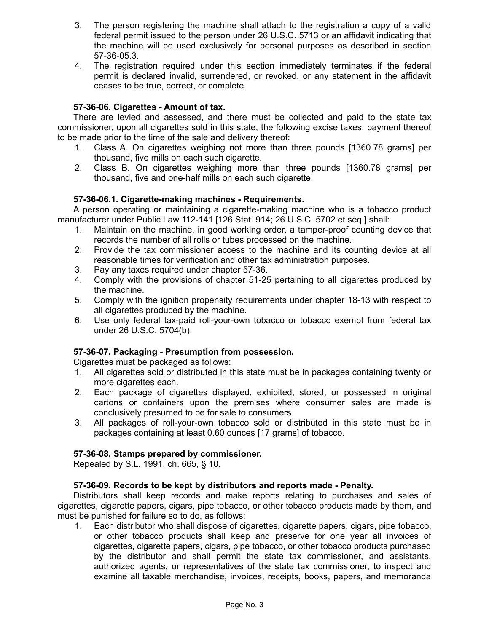- 3. The person registering the machine shall attach to the registration a copy of a valid federal permit issued to the person under 26 U.S.C. 5713 or an affidavit indicating that the machine will be used exclusively for personal purposes as described in section 57-36-05.3.
- 4. The registration required under this section immediately terminates if the federal permit is declared invalid, surrendered, or revoked, or any statement in the affidavit ceases to be true, correct, or complete.

# **57-36-06. Cigarettes - Amount of tax.**

There are levied and assessed, and there must be collected and paid to the state tax commissioner, upon all cigarettes sold in this state, the following excise taxes, payment thereof to be made prior to the time of the sale and delivery thereof:

- 1. Class A. On cigarettes weighing not more than three pounds [1360.78 grams] per thousand, five mills on each such cigarette.
- 2. Class B. On cigarettes weighing more than three pounds [1360.78 grams] per thousand, five and one-half mills on each such cigarette.

# **57-36-06.1. Cigarette-making machines - Requirements.**

A person operating or maintaining a cigarette-making machine who is a tobacco product manufacturer under Public Law 112-141 [126 Stat. 914; 26 U.S.C. 5702 et seq.] shall:

- 1. Maintain on the machine, in good working order, a tamper-proof counting device that records the number of all rolls or tubes processed on the machine.
- 2. Provide the tax commissioner access to the machine and its counting device at all reasonable times for verification and other tax administration purposes.
- 3. Pay any taxes required under chapter 57-36.
- 4. Comply with the provisions of chapter 51-25 pertaining to all cigarettes produced by the machine.
- 5. Comply with the ignition propensity requirements under chapter 18-13 with respect to all cigarettes produced by the machine.
- 6. Use only federal tax-paid roll-your-own tobacco or tobacco exempt from federal tax under 26 U.S.C. 5704(b).

## **57-36-07. Packaging - Presumption from possession.**

Cigarettes must be packaged as follows:

- 1. All cigarettes sold or distributed in this state must be in packages containing twenty or more cigarettes each.
- 2. Each package of cigarettes displayed, exhibited, stored, or possessed in original cartons or containers upon the premises where consumer sales are made is conclusively presumed to be for sale to consumers.
- 3. All packages of roll-your-own tobacco sold or distributed in this state must be in packages containing at least 0.60 ounces [17 grams] of tobacco.

## **57-36-08. Stamps prepared by commissioner.**

Repealed by S.L. 1991, ch. 665, § 10.

## **57-36-09. Records to be kept by distributors and reports made - Penalty.**

Distributors shall keep records and make reports relating to purchases and sales of cigarettes, cigarette papers, cigars, pipe tobacco, or other tobacco products made by them, and must be punished for failure so to do, as follows:

1. Each distributor who shall dispose of cigarettes, cigarette papers, cigars, pipe tobacco, or other tobacco products shall keep and preserve for one year all invoices of cigarettes, cigarette papers, cigars, pipe tobacco, or other tobacco products purchased by the distributor and shall permit the state tax commissioner, and assistants, authorized agents, or representatives of the state tax commissioner, to inspect and examine all taxable merchandise, invoices, receipts, books, papers, and memoranda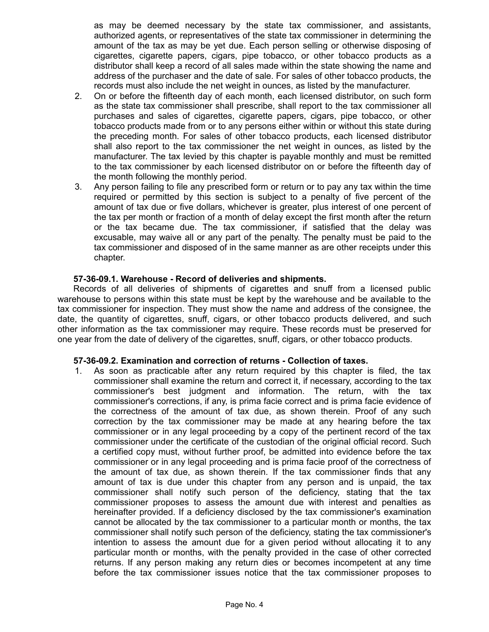as may be deemed necessary by the state tax commissioner, and assistants, authorized agents, or representatives of the state tax commissioner in determining the amount of the tax as may be yet due. Each person selling or otherwise disposing of cigarettes, cigarette papers, cigars, pipe tobacco, or other tobacco products as a distributor shall keep a record of all sales made within the state showing the name and address of the purchaser and the date of sale. For sales of other tobacco products, the records must also include the net weight in ounces, as listed by the manufacturer.

- 2. On or before the fifteenth day of each month, each licensed distributor, on such form as the state tax commissioner shall prescribe, shall report to the tax commissioner all purchases and sales of cigarettes, cigarette papers, cigars, pipe tobacco, or other tobacco products made from or to any persons either within or without this state during the preceding month. For sales of other tobacco products, each licensed distributor shall also report to the tax commissioner the net weight in ounces, as listed by the manufacturer. The tax levied by this chapter is payable monthly and must be remitted to the tax commissioner by each licensed distributor on or before the fifteenth day of the month following the monthly period.
- 3. Any person failing to file any prescribed form or return or to pay any tax within the time required or permitted by this section is subject to a penalty of five percent of the amount of tax due or five dollars, whichever is greater, plus interest of one percent of the tax per month or fraction of a month of delay except the first month after the return or the tax became due. The tax commissioner, if satisfied that the delay was excusable, may waive all or any part of the penalty. The penalty must be paid to the tax commissioner and disposed of in the same manner as are other receipts under this chapter.

#### **57-36-09.1. Warehouse - Record of deliveries and shipments.**

Records of all deliveries of shipments of cigarettes and snuff from a licensed public warehouse to persons within this state must be kept by the warehouse and be available to the tax commissioner for inspection. They must show the name and address of the consignee, the date, the quantity of cigarettes, snuff, cigars, or other tobacco products delivered, and such other information as the tax commissioner may require. These records must be preserved for one year from the date of delivery of the cigarettes, snuff, cigars, or other tobacco products.

#### **57-36-09.2. Examination and correction of returns - Collection of taxes.**

1. As soon as practicable after any return required by this chapter is filed, the tax commissioner shall examine the return and correct it, if necessary, according to the tax commissioner's best judgment and information. The return, with the tax commissioner's corrections, if any, is prima facie correct and is prima facie evidence of the correctness of the amount of tax due, as shown therein. Proof of any such correction by the tax commissioner may be made at any hearing before the tax commissioner or in any legal proceeding by a copy of the pertinent record of the tax commissioner under the certificate of the custodian of the original official record. Such a certified copy must, without further proof, be admitted into evidence before the tax commissioner or in any legal proceeding and is prima facie proof of the correctness of the amount of tax due, as shown therein. If the tax commissioner finds that any amount of tax is due under this chapter from any person and is unpaid, the tax commissioner shall notify such person of the deficiency, stating that the tax commissioner proposes to assess the amount due with interest and penalties as hereinafter provided. If a deficiency disclosed by the tax commissioner's examination cannot be allocated by the tax commissioner to a particular month or months, the tax commissioner shall notify such person of the deficiency, stating the tax commissioner's intention to assess the amount due for a given period without allocating it to any particular month or months, with the penalty provided in the case of other corrected returns. If any person making any return dies or becomes incompetent at any time before the tax commissioner issues notice that the tax commissioner proposes to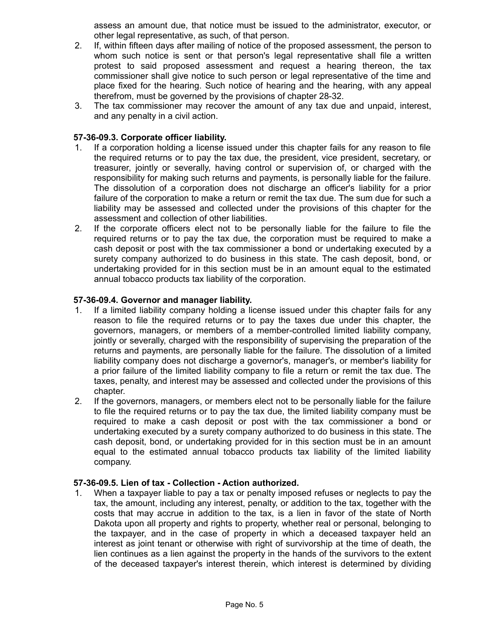assess an amount due, that notice must be issued to the administrator, executor, or other legal representative, as such, of that person.

- 2. If, within fifteen days after mailing of notice of the proposed assessment, the person to whom such notice is sent or that person's legal representative shall file a written protest to said proposed assessment and request a hearing thereon, the tax commissioner shall give notice to such person or legal representative of the time and place fixed for the hearing. Such notice of hearing and the hearing, with any appeal therefrom, must be governed by the provisions of chapter 28-32.
- 3. The tax commissioner may recover the amount of any tax due and unpaid, interest, and any penalty in a civil action.

### **57-36-09.3. Corporate officer liability.**

- 1. If a corporation holding a license issued under this chapter fails for any reason to file the required returns or to pay the tax due, the president, vice president, secretary, or treasurer, jointly or severally, having control or supervision of, or charged with the responsibility for making such returns and payments, is personally liable for the failure. The dissolution of a corporation does not discharge an officer's liability for a prior failure of the corporation to make a return or remit the tax due. The sum due for such a liability may be assessed and collected under the provisions of this chapter for the assessment and collection of other liabilities.
- 2. If the corporate officers elect not to be personally liable for the failure to file the required returns or to pay the tax due, the corporation must be required to make a cash deposit or post with the tax commissioner a bond or undertaking executed by a surety company authorized to do business in this state. The cash deposit, bond, or undertaking provided for in this section must be in an amount equal to the estimated annual tobacco products tax liability of the corporation.

### **57-36-09.4. Governor and manager liability.**

- 1. If a limited liability company holding a license issued under this chapter fails for any reason to file the required returns or to pay the taxes due under this chapter, the governors, managers, or members of a member-controlled limited liability company, jointly or severally, charged with the responsibility of supervising the preparation of the returns and payments, are personally liable for the failure. The dissolution of a limited liability company does not discharge a governor's, manager's, or member's liability for a prior failure of the limited liability company to file a return or remit the tax due. The taxes, penalty, and interest may be assessed and collected under the provisions of this chapter.
- 2. If the governors, managers, or members elect not to be personally liable for the failure to file the required returns or to pay the tax due, the limited liability company must be required to make a cash deposit or post with the tax commissioner a bond or undertaking executed by a surety company authorized to do business in this state. The cash deposit, bond, or undertaking provided for in this section must be in an amount equal to the estimated annual tobacco products tax liability of the limited liability company.

#### **57-36-09.5. Lien of tax - Collection - Action authorized.**

1. When a taxpayer liable to pay a tax or penalty imposed refuses or neglects to pay the tax, the amount, including any interest, penalty, or addition to the tax, together with the costs that may accrue in addition to the tax, is a lien in favor of the state of North Dakota upon all property and rights to property, whether real or personal, belonging to the taxpayer, and in the case of property in which a deceased taxpayer held an interest as joint tenant or otherwise with right of survivorship at the time of death, the lien continues as a lien against the property in the hands of the survivors to the extent of the deceased taxpayer's interest therein, which interest is determined by dividing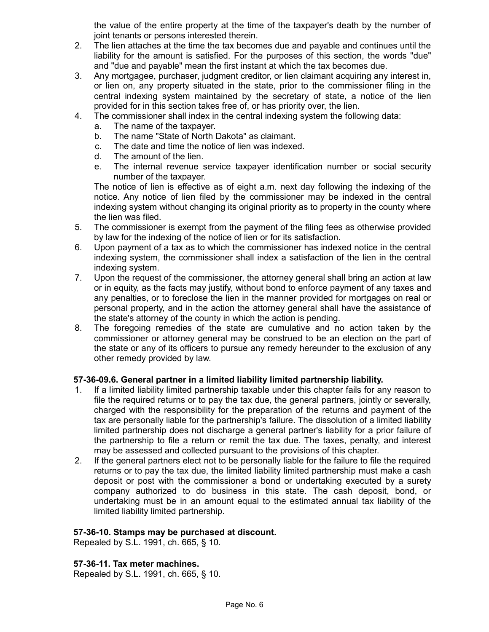the value of the entire property at the time of the taxpayer's death by the number of joint tenants or persons interested therein.

- 2. The lien attaches at the time the tax becomes due and payable and continues until the liability for the amount is satisfied. For the purposes of this section, the words "due" and "due and payable" mean the first instant at which the tax becomes due.
- 3. Any mortgagee, purchaser, judgment creditor, or lien claimant acquiring any interest in, or lien on, any property situated in the state, prior to the commissioner filing in the central indexing system maintained by the secretary of state, a notice of the lien provided for in this section takes free of, or has priority over, the lien.
- 4. The commissioner shall index in the central indexing system the following data:
	- a. The name of the taxpayer.
	- b. The name "State of North Dakota" as claimant.
	- c. The date and time the notice of lien was indexed.
	- d. The amount of the lien.
	- e. The internal revenue service taxpayer identification number or social security number of the taxpayer.

The notice of lien is effective as of eight a.m. next day following the indexing of the notice. Any notice of lien filed by the commissioner may be indexed in the central indexing system without changing its original priority as to property in the county where the lien was filed.

- 5. The commissioner is exempt from the payment of the filing fees as otherwise provided by law for the indexing of the notice of lien or for its satisfaction.
- 6. Upon payment of a tax as to which the commissioner has indexed notice in the central indexing system, the commissioner shall index a satisfaction of the lien in the central indexing system.
- 7. Upon the request of the commissioner, the attorney general shall bring an action at law or in equity, as the facts may justify, without bond to enforce payment of any taxes and any penalties, or to foreclose the lien in the manner provided for mortgages on real or personal property, and in the action the attorney general shall have the assistance of the state's attorney of the county in which the action is pending.
- 8. The foregoing remedies of the state are cumulative and no action taken by the commissioner or attorney general may be construed to be an election on the part of the state or any of its officers to pursue any remedy hereunder to the exclusion of any other remedy provided by law.

## **57-36-09.6. General partner in a limited liability limited partnership liability.**

- 1. If a limited liability limited partnership taxable under this chapter fails for any reason to file the required returns or to pay the tax due, the general partners, jointly or severally, charged with the responsibility for the preparation of the returns and payment of the tax are personally liable for the partnership's failure. The dissolution of a limited liability limited partnership does not discharge a general partner's liability for a prior failure of the partnership to file a return or remit the tax due. The taxes, penalty, and interest may be assessed and collected pursuant to the provisions of this chapter.
- 2. If the general partners elect not to be personally liable for the failure to file the required returns or to pay the tax due, the limited liability limited partnership must make a cash deposit or post with the commissioner a bond or undertaking executed by a surety company authorized to do business in this state. The cash deposit, bond, or undertaking must be in an amount equal to the estimated annual tax liability of the limited liability limited partnership.

#### **57-36-10. Stamps may be purchased at discount.**

Repealed by S.L. 1991, ch. 665, § 10.

#### **57-36-11. Tax meter machines.**

Repealed by S.L. 1991, ch. 665, § 10.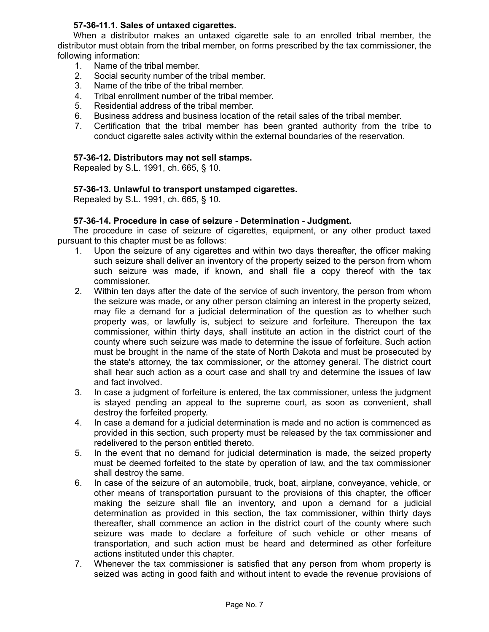## **57-36-11.1. Sales of untaxed cigarettes.**

When a distributor makes an untaxed cigarette sale to an enrolled tribal member, the distributor must obtain from the tribal member, on forms prescribed by the tax commissioner, the following information:

- 1. Name of the tribal member.
- 2. Social security number of the tribal member.
- 3. Name of the tribe of the tribal member.
- 4. Tribal enrollment number of the tribal member.
- 5. Residential address of the tribal member.
- 6. Business address and business location of the retail sales of the tribal member.
- 7. Certification that the tribal member has been granted authority from the tribe to conduct cigarette sales activity within the external boundaries of the reservation.

#### **57-36-12. Distributors may not sell stamps.**

Repealed by S.L. 1991, ch. 665, § 10.

#### **57-36-13. Unlawful to transport unstamped cigarettes.**

Repealed by S.L. 1991, ch. 665, § 10.

#### **57-36-14. Procedure in case of seizure - Determination - Judgment.**

The procedure in case of seizure of cigarettes, equipment, or any other product taxed pursuant to this chapter must be as follows:

- 1. Upon the seizure of any cigarettes and within two days thereafter, the officer making such seizure shall deliver an inventory of the property seized to the person from whom such seizure was made, if known, and shall file a copy thereof with the tax commissioner.
- 2. Within ten days after the date of the service of such inventory, the person from whom the seizure was made, or any other person claiming an interest in the property seized, may file a demand for a judicial determination of the question as to whether such property was, or lawfully is, subject to seizure and forfeiture. Thereupon the tax commissioner, within thirty days, shall institute an action in the district court of the county where such seizure was made to determine the issue of forfeiture. Such action must be brought in the name of the state of North Dakota and must be prosecuted by the state's attorney, the tax commissioner, or the attorney general. The district court shall hear such action as a court case and shall try and determine the issues of law and fact involved.
- 3. In case a judgment of forfeiture is entered, the tax commissioner, unless the judgment is stayed pending an appeal to the supreme court, as soon as convenient, shall destroy the forfeited property.
- 4. In case a demand for a judicial determination is made and no action is commenced as provided in this section, such property must be released by the tax commissioner and redelivered to the person entitled thereto.
- 5. In the event that no demand for judicial determination is made, the seized property must be deemed forfeited to the state by operation of law, and the tax commissioner shall destroy the same.
- 6. In case of the seizure of an automobile, truck, boat, airplane, conveyance, vehicle, or other means of transportation pursuant to the provisions of this chapter, the officer making the seizure shall file an inventory, and upon a demand for a judicial determination as provided in this section, the tax commissioner, within thirty days thereafter, shall commence an action in the district court of the county where such seizure was made to declare a forfeiture of such vehicle or other means of transportation, and such action must be heard and determined as other forfeiture actions instituted under this chapter.
- 7. Whenever the tax commissioner is satisfied that any person from whom property is seized was acting in good faith and without intent to evade the revenue provisions of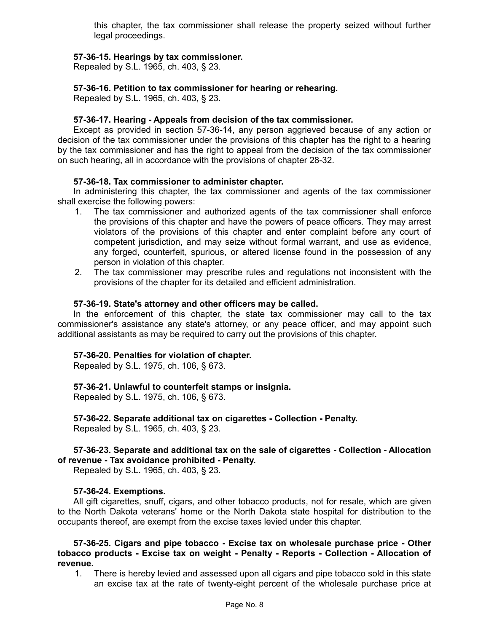this chapter, the tax commissioner shall release the property seized without further legal proceedings.

### **57-36-15. Hearings by tax commissioner.**

Repealed by S.L. 1965, ch. 403, § 23.

### **57-36-16. Petition to tax commissioner for hearing or rehearing.**

Repealed by S.L. 1965, ch. 403, § 23.

#### **57-36-17. Hearing - Appeals from decision of the tax commissioner.**

Except as provided in section 57-36-14, any person aggrieved because of any action or decision of the tax commissioner under the provisions of this chapter has the right to a hearing by the tax commissioner and has the right to appeal from the decision of the tax commissioner on such hearing, all in accordance with the provisions of chapter 28-32.

### **57-36-18. Tax commissioner to administer chapter.**

In administering this chapter, the tax commissioner and agents of the tax commissioner shall exercise the following powers:

- 1. The tax commissioner and authorized agents of the tax commissioner shall enforce the provisions of this chapter and have the powers of peace officers. They may arrest violators of the provisions of this chapter and enter complaint before any court of competent jurisdiction, and may seize without formal warrant, and use as evidence, any forged, counterfeit, spurious, or altered license found in the possession of any person in violation of this chapter.
- 2. The tax commissioner may prescribe rules and regulations not inconsistent with the provisions of the chapter for its detailed and efficient administration.

#### **57-36-19. State's attorney and other officers may be called.**

In the enforcement of this chapter, the state tax commissioner may call to the tax commissioner's assistance any state's attorney, or any peace officer, and may appoint such additional assistants as may be required to carry out the provisions of this chapter.

### **57-36-20. Penalties for violation of chapter.**

Repealed by S.L. 1975, ch. 106, § 673.

#### **57-36-21. Unlawful to counterfeit stamps or insignia.**

Repealed by S.L. 1975, ch. 106, § 673.

## **57-36-22. Separate additional tax on cigarettes - Collection - Penalty.**

Repealed by S.L. 1965, ch. 403, § 23.

## **57-36-23. Separate and additional tax on the sale of cigarettes - Collection - Allocation of revenue - Tax avoidance prohibited - Penalty.**

Repealed by S.L. 1965, ch. 403, § 23.

#### **57-36-24. Exemptions.**

All gift cigarettes, snuff, cigars, and other tobacco products, not for resale, which are given to the North Dakota veterans' home or the North Dakota state hospital for distribution to the occupants thereof, are exempt from the excise taxes levied under this chapter.

#### **57-36-25. Cigars and pipe tobacco - Excise tax on wholesale purchase price - Other tobacco products - Excise tax on weight - Penalty - Reports - Collection - Allocation of revenue.**

1. There is hereby levied and assessed upon all cigars and pipe tobacco sold in this state an excise tax at the rate of twenty-eight percent of the wholesale purchase price at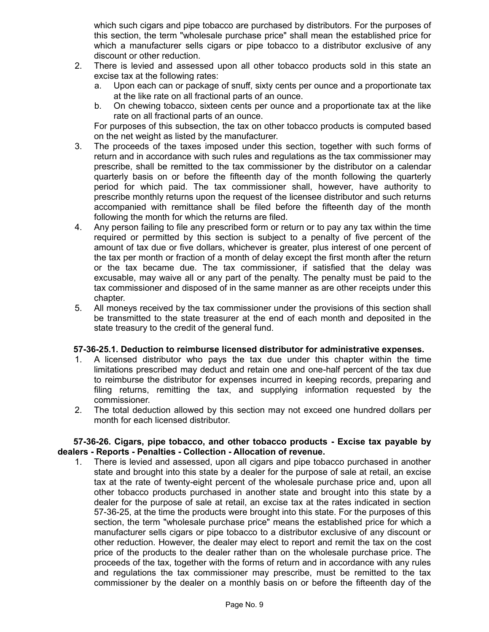which such cigars and pipe tobacco are purchased by distributors. For the purposes of this section, the term "wholesale purchase price" shall mean the established price for which a manufacturer sells cigars or pipe tobacco to a distributor exclusive of any discount or other reduction.

- 2. There is levied and assessed upon all other tobacco products sold in this state an excise tax at the following rates:
	- a. Upon each can or package of snuff, sixty cents per ounce and a proportionate tax at the like rate on all fractional parts of an ounce.
	- b. On chewing tobacco, sixteen cents per ounce and a proportionate tax at the like rate on all fractional parts of an ounce.

For purposes of this subsection, the tax on other tobacco products is computed based on the net weight as listed by the manufacturer.

- 3. The proceeds of the taxes imposed under this section, together with such forms of return and in accordance with such rules and regulations as the tax commissioner may prescribe, shall be remitted to the tax commissioner by the distributor on a calendar quarterly basis on or before the fifteenth day of the month following the quarterly period for which paid. The tax commissioner shall, however, have authority to prescribe monthly returns upon the request of the licensee distributor and such returns accompanied with remittance shall be filed before the fifteenth day of the month following the month for which the returns are filed.
- 4. Any person failing to file any prescribed form or return or to pay any tax within the time required or permitted by this section is subject to a penalty of five percent of the amount of tax due or five dollars, whichever is greater, plus interest of one percent of the tax per month or fraction of a month of delay except the first month after the return or the tax became due. The tax commissioner, if satisfied that the delay was excusable, may waive all or any part of the penalty. The penalty must be paid to the tax commissioner and disposed of in the same manner as are other receipts under this chapter.
- 5. All moneys received by the tax commissioner under the provisions of this section shall be transmitted to the state treasurer at the end of each month and deposited in the state treasury to the credit of the general fund.

## **57-36-25.1. Deduction to reimburse licensed distributor for administrative expenses.**

- 1. A licensed distributor who pays the tax due under this chapter within the time limitations prescribed may deduct and retain one and one-half percent of the tax due to reimburse the distributor for expenses incurred in keeping records, preparing and filing returns, remitting the tax, and supplying information requested by the commissioner.
- 2. The total deduction allowed by this section may not exceed one hundred dollars per month for each licensed distributor.

### **57-36-26. Cigars, pipe tobacco, and other tobacco products - Excise tax payable by dealers - Reports - Penalties - Collection - Allocation of revenue.**

1. There is levied and assessed, upon all cigars and pipe tobacco purchased in another state and brought into this state by a dealer for the purpose of sale at retail, an excise tax at the rate of twenty-eight percent of the wholesale purchase price and, upon all other tobacco products purchased in another state and brought into this state by a dealer for the purpose of sale at retail, an excise tax at the rates indicated in section 57-36-25, at the time the products were brought into this state. For the purposes of this section, the term "wholesale purchase price" means the established price for which a manufacturer sells cigars or pipe tobacco to a distributor exclusive of any discount or other reduction. However, the dealer may elect to report and remit the tax on the cost price of the products to the dealer rather than on the wholesale purchase price. The proceeds of the tax, together with the forms of return and in accordance with any rules and regulations the tax commissioner may prescribe, must be remitted to the tax commissioner by the dealer on a monthly basis on or before the fifteenth day of the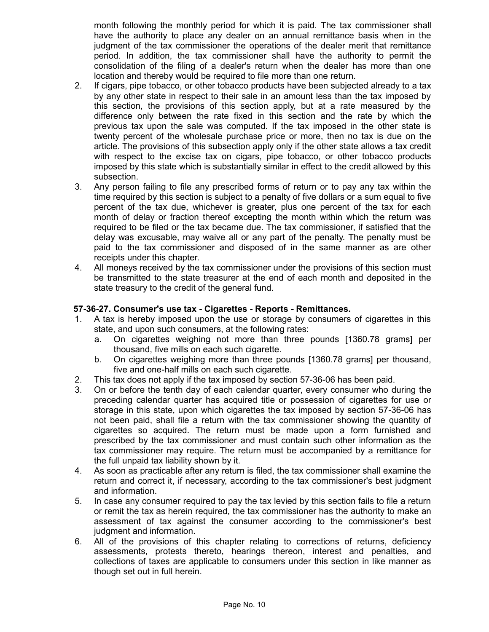month following the monthly period for which it is paid. The tax commissioner shall have the authority to place any dealer on an annual remittance basis when in the judgment of the tax commissioner the operations of the dealer merit that remittance period. In addition, the tax commissioner shall have the authority to permit the consolidation of the filing of a dealer's return when the dealer has more than one location and thereby would be required to file more than one return.

- 2. If cigars, pipe tobacco, or other tobacco products have been subjected already to a tax by any other state in respect to their sale in an amount less than the tax imposed by this section, the provisions of this section apply, but at a rate measured by the difference only between the rate fixed in this section and the rate by which the previous tax upon the sale was computed. If the tax imposed in the other state is twenty percent of the wholesale purchase price or more, then no tax is due on the article. The provisions of this subsection apply only if the other state allows a tax credit with respect to the excise tax on cigars, pipe tobacco, or other tobacco products imposed by this state which is substantially similar in effect to the credit allowed by this subsection.
- 3. Any person failing to file any prescribed forms of return or to pay any tax within the time required by this section is subject to a penalty of five dollars or a sum equal to five percent of the tax due, whichever is greater, plus one percent of the tax for each month of delay or fraction thereof excepting the month within which the return was required to be filed or the tax became due. The tax commissioner, if satisfied that the delay was excusable, may waive all or any part of the penalty. The penalty must be paid to the tax commissioner and disposed of in the same manner as are other receipts under this chapter.
- 4. All moneys received by the tax commissioner under the provisions of this section must be transmitted to the state treasurer at the end of each month and deposited in the state treasury to the credit of the general fund.

# **57-36-27. Consumer's use tax - Cigarettes - Reports - Remittances.**

- 1. A tax is hereby imposed upon the use or storage by consumers of cigarettes in this state, and upon such consumers, at the following rates:
	- a. On cigarettes weighing not more than three pounds [1360.78 grams] per thousand, five mills on each such cigarette.
	- b. On cigarettes weighing more than three pounds [1360.78 grams] per thousand, five and one-half mills on each such cigarette.
- 2. This tax does not apply if the tax imposed by section 57-36-06 has been paid.
- 3. On or before the tenth day of each calendar quarter, every consumer who during the preceding calendar quarter has acquired title or possession of cigarettes for use or storage in this state, upon which cigarettes the tax imposed by section 57-36-06 has not been paid, shall file a return with the tax commissioner showing the quantity of cigarettes so acquired. The return must be made upon a form furnished and prescribed by the tax commissioner and must contain such other information as the tax commissioner may require. The return must be accompanied by a remittance for the full unpaid tax liability shown by it.
- 4. As soon as practicable after any return is filed, the tax commissioner shall examine the return and correct it, if necessary, according to the tax commissioner's best judgment and information.
- 5. In case any consumer required to pay the tax levied by this section fails to file a return or remit the tax as herein required, the tax commissioner has the authority to make an assessment of tax against the consumer according to the commissioner's best judgment and information.
- 6. All of the provisions of this chapter relating to corrections of returns, deficiency assessments, protests thereto, hearings thereon, interest and penalties, and collections of taxes are applicable to consumers under this section in like manner as though set out in full herein.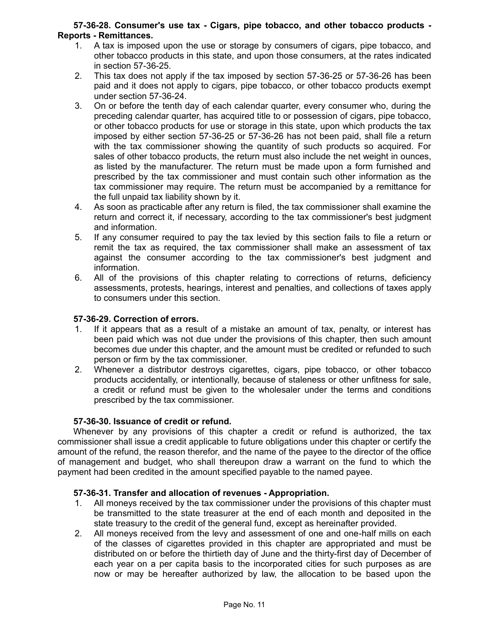### **57-36-28. Consumer's use tax - Cigars, pipe tobacco, and other tobacco products - Reports - Remittances.**

- 1. A tax is imposed upon the use or storage by consumers of cigars, pipe tobacco, and other tobacco products in this state, and upon those consumers, at the rates indicated in section 57-36-25.
- 2. This tax does not apply if the tax imposed by section 57-36-25 or 57-36-26 has been paid and it does not apply to cigars, pipe tobacco, or other tobacco products exempt under section 57-36-24.
- 3. On or before the tenth day of each calendar quarter, every consumer who, during the preceding calendar quarter, has acquired title to or possession of cigars, pipe tobacco, or other tobacco products for use or storage in this state, upon which products the tax imposed by either section 57-36-25 or 57-36-26 has not been paid, shall file a return with the tax commissioner showing the quantity of such products so acquired. For sales of other tobacco products, the return must also include the net weight in ounces, as listed by the manufacturer. The return must be made upon a form furnished and prescribed by the tax commissioner and must contain such other information as the tax commissioner may require. The return must be accompanied by a remittance for the full unpaid tax liability shown by it.
- 4. As soon as practicable after any return is filed, the tax commissioner shall examine the return and correct it, if necessary, according to the tax commissioner's best judgment and information.
- 5. If any consumer required to pay the tax levied by this section fails to file a return or remit the tax as required, the tax commissioner shall make an assessment of tax against the consumer according to the tax commissioner's best judgment and information.
- 6. All of the provisions of this chapter relating to corrections of returns, deficiency assessments, protests, hearings, interest and penalties, and collections of taxes apply to consumers under this section.

## **57-36-29. Correction of errors.**

- 1. If it appears that as a result of a mistake an amount of tax, penalty, or interest has been paid which was not due under the provisions of this chapter, then such amount becomes due under this chapter, and the amount must be credited or refunded to such person or firm by the tax commissioner.
- 2. Whenever a distributor destroys cigarettes, cigars, pipe tobacco, or other tobacco products accidentally, or intentionally, because of staleness or other unfitness for sale, a credit or refund must be given to the wholesaler under the terms and conditions prescribed by the tax commissioner.

## **57-36-30. Issuance of credit or refund.**

Whenever by any provisions of this chapter a credit or refund is authorized, the tax commissioner shall issue a credit applicable to future obligations under this chapter or certify the amount of the refund, the reason therefor, and the name of the payee to the director of the office of management and budget, who shall thereupon draw a warrant on the fund to which the payment had been credited in the amount specified payable to the named payee.

## **57-36-31. Transfer and allocation of revenues - Appropriation.**

- 1. All moneys received by the tax commissioner under the provisions of this chapter must be transmitted to the state treasurer at the end of each month and deposited in the state treasury to the credit of the general fund, except as hereinafter provided.
- 2. All moneys received from the levy and assessment of one and one-half mills on each of the classes of cigarettes provided in this chapter are appropriated and must be distributed on or before the thirtieth day of June and the thirty-first day of December of each year on a per capita basis to the incorporated cities for such purposes as are now or may be hereafter authorized by law, the allocation to be based upon the